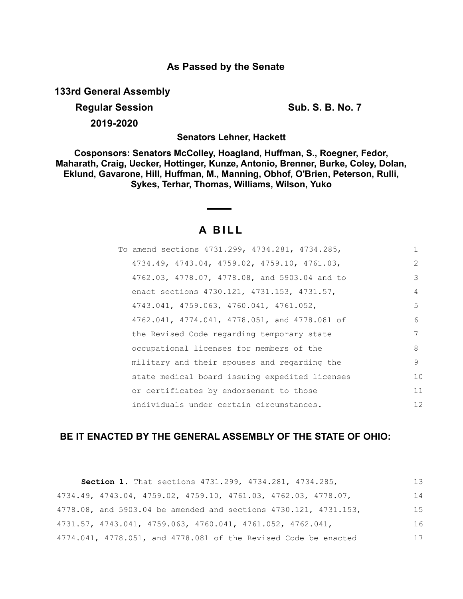# **As Passed by the Senate**

**133rd General Assembly**

**Regular Session Sub. S. B. No. 7 Sub. S. B. No. 7 2019-2020**

**Senators Lehner, Hackett**

**Cosponsors: Senators McColley, Hoagland, Huffman, S., Roegner, Fedor, Maharath, Craig, Uecker, Hottinger, Kunze, Antonio, Brenner, Burke, Coley, Dolan, Eklund, Gavarone, Hill, Huffman, M., Manning, Obhof, O'Brien, Peterson, Rulli, Sykes, Terhar, Thomas, Williams, Wilson, Yuko**

# **A B I L L**

| To amend sections 4731.299, 4734.281, 4734.285, |               |
|-------------------------------------------------|---------------|
| 4734.49, 4743.04, 4759.02, 4759.10, 4761.03,    | $\mathcal{L}$ |
| 4762.03, 4778.07, 4778.08, and 5903.04 and to   | 3             |
| enact sections 4730.121, 4731.153, 4731.57,     | 4             |
| 4743.041, 4759.063, 4760.041, 4761.052,         | 5             |
| 4762.041, 4774.041, 4778.051, and 4778.081 of   | 6             |
| the Revised Code regarding temporary state      | 7             |
| occupational licenses for members of the        | 8             |
| military and their spouses and regarding the    | 9             |
| state medical board issuing expedited licenses  | 10            |
| or certificates by endorsement to those         | 11            |
| individuals under certain circumstances.        | 12            |

# **BE IT ENACTED BY THE GENERAL ASSEMBLY OF THE STATE OF OHIO:**

| Section 1. That sections 4731.299, 4734.281, 4734.285,                              | 13 |
|-------------------------------------------------------------------------------------|----|
| $4734.49$ , $4743.04$ , $4759.02$ , $4759.10$ , $4761.03$ , $4762.03$ , $4778.07$ , | 14 |
| 4778.08, and 5903.04 be amended and sections 4730.121, 4731.153,                    | 15 |
| $4731.57$ , $4743.041$ , $4759.063$ , $4760.041$ , $4761.052$ , $4762.041$ ,        | 16 |
| 4774.041, 4778.051, and 4778.081 of the Revised Code be enacted                     | 17 |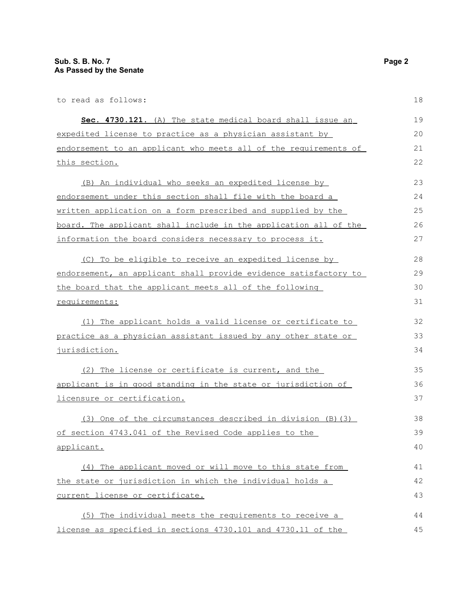to read as follows: **Sec. 4730.121.** (A) The state medical board shall issue an expedited license to practice as a physician assistant by endorsement to an applicant who meets all of the requirements of this section. (B) An individual who seeks an expedited license by endorsement under this section shall file with the board a written application on a form prescribed and supplied by the board. The applicant shall include in the application all of the information the board considers necessary to process it. (C) To be eligible to receive an expedited license by endorsement, an applicant shall provide evidence satisfactory to the board that the applicant meets all of the following requirements: (1) The applicant holds a valid license or certificate to practice as a physician assistant issued by any other state or jurisdiction. (2) The license or certificate is current, and the applicant is in good standing in the state or jurisdiction of licensure or certification. (3) One of the circumstances described in division (B)(3) of section 4743.041 of the Revised Code applies to the applicant. (4) The applicant moved or will move to this state from the state or jurisdiction in which the individual holds a current license or certificate. (5) The individual meets the requirements to receive a 18 19 20 21 22 23 24 25 26 27 28 29 30 31 32 33 34 35 36 37 38 39 40 41 42 43 44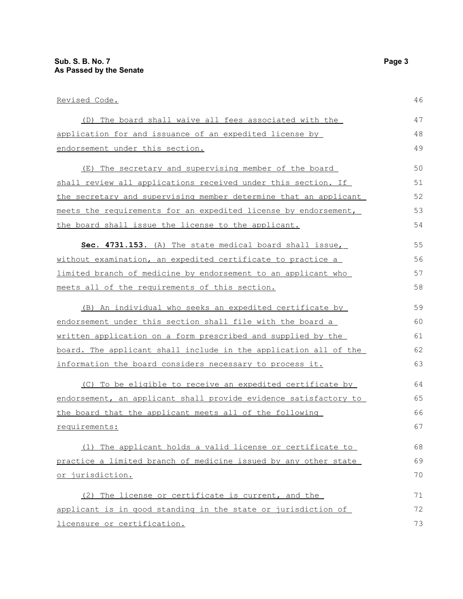licensure or certification.

| <u>Revised Code.</u>                                             | 46 |
|------------------------------------------------------------------|----|
| (D) The board shall waive all fees associated with the           | 47 |
| application for and issuance of an expedited license by          | 48 |
| endorsement under this section.                                  | 49 |
| The secretary and supervising member of the board<br>(E)         | 50 |
| shall review all applications received under this section. If    | 51 |
| the secretary and supervising member determine that an applicant | 52 |
| meets the requirements for an expedited license by endorsement,  | 53 |
| the board shall issue the license to the applicant.              | 54 |
| Sec. 4731.153. (A) The state medical board shall issue,          | 55 |
| without examination, an expedited certificate to practice a      | 56 |
| limited branch of medicine by endorsement to an applicant who    | 57 |
| meets all of the requirements of this section.                   | 58 |
| (B) An individual who seeks an expedited certificate by          | 59 |
| endorsement under this section shall file with the board a       | 60 |
| written application on a form prescribed and supplied by the     | 61 |
| board. The applicant shall include in the application all of the | 62 |
| information the board considers necessary to process it.         | 63 |
| (C) To be eligible to receive an expedited certificate by        | 64 |
| endorsement, an applicant shall provide evidence satisfactory to | 65 |
| the board that the applicant meets all of the following          | 66 |
| requirements:                                                    | 67 |
| (1) The applicant holds a valid license or certificate to        | 68 |
| practice a limited branch of medicine issued by any other state  | 69 |
| or jurisdiction.                                                 | 70 |
| (2) The license or certificate is current, and the               | 71 |
| applicant is in good standing in the state or jurisdiction of    | 72 |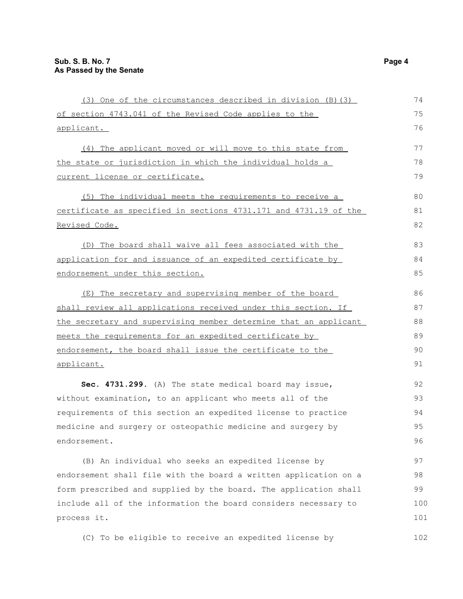| (3) One of the circumstances described in division (B) (3)       | 74  |
|------------------------------------------------------------------|-----|
| of section 4743.041 of the Revised Code applies to the           | 75  |
| applicant.                                                       | 76  |
| (4) The applicant moved or will move to this state from          | 77  |
| the state or jurisdiction in which the individual holds a        | 78  |
| current license or certificate.                                  | 79  |
| (5) The individual meets the requirements to receive a           | 80  |
| certificate as specified in sections 4731.171 and 4731.19 of the | 81  |
| Revised Code.                                                    | 82  |
| (D) The board shall waive all fees associated with the           | 83  |
| application for and issuance of an expedited certificate by      | 84  |
| endorsement under this section.                                  | 85  |
| (E) The secretary and supervising member of the board            | 86  |
| shall review all applications received under this section. If    | 87  |
| the secretary and supervising member determine that an applicant | 88  |
| meets the requirements for an expedited certificate by           | 89  |
| endorsement, the board shall issue the certificate to the        | 90  |
| applicant.                                                       | 91  |
| Sec. 4731.299. (A) The state medical board may issue,            | 92  |
| without examination, to an applicant who meets all of the        | 93  |
| requirements of this section an expedited license to practice    | 94  |
| medicine and surgery or osteopathic medicine and surgery by      | 95  |
| endorsement.                                                     | 96  |
| (B) An individual who seeks an expedited license by              | 97  |
| endorsement shall file with the board a written application on a | 98  |
| form prescribed and supplied by the board. The application shall | 99  |
| include all of the information the board considers necessary to  | 100 |
| process it.                                                      | 101 |
| (C) To be eligible to receive an expedited license by            | 102 |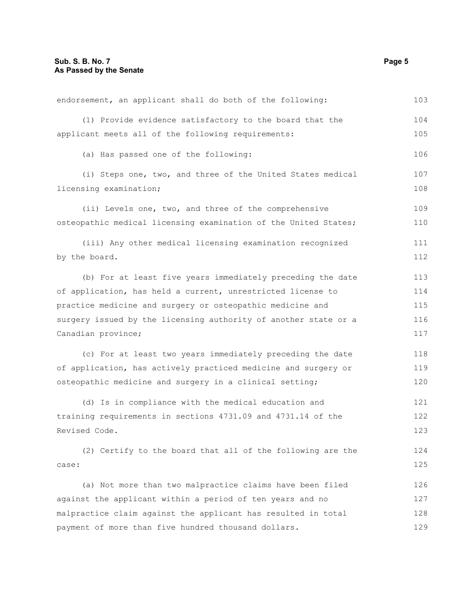| endorsement, an applicant shall do both of the following:       | 103 |
|-----------------------------------------------------------------|-----|
| (1) Provide evidence satisfactory to the board that the         | 104 |
| applicant meets all of the following requirements:              | 105 |
| (a) Has passed one of the following:                            | 106 |
| (i) Steps one, two, and three of the United States medical      | 107 |
| licensing examination;                                          | 108 |
| (ii) Levels one, two, and three of the comprehensive            | 109 |
| osteopathic medical licensing examination of the United States; | 110 |
| (iii) Any other medical licensing examination recognized        | 111 |
| by the board.                                                   | 112 |
| (b) For at least five years immediately preceding the date      | 113 |
| of application, has held a current, unrestricted license to     | 114 |
| practice medicine and surgery or osteopathic medicine and       | 115 |
| surgery issued by the licensing authority of another state or a | 116 |
| Canadian province;                                              | 117 |
| (c) For at least two years immediately preceding the date       | 118 |
| of application, has actively practiced medicine and surgery or  | 119 |
| osteopathic medicine and surgery in a clinical setting;         | 120 |
| (d) Is in compliance with the medical education and             | 121 |
| training requirements in sections 4731.09 and 4731.14 of the    | 122 |
| Revised Code.                                                   | 123 |
| (2) Certify to the board that all of the following are the      | 124 |
| case:                                                           | 125 |
| (a) Not more than two malpractice claims have been filed        | 126 |
| against the applicant within a period of ten years and no       | 127 |
| malpractice claim against the applicant has resulted in total   | 128 |
| payment of more than five hundred thousand dollars.             | 129 |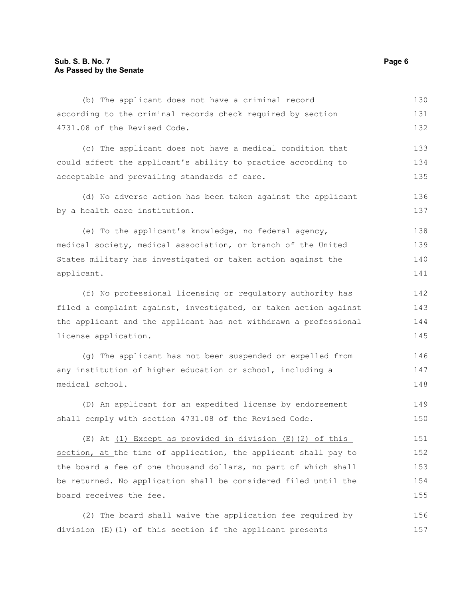| (b) The applicant does not have a criminal record                            | 130 |
|------------------------------------------------------------------------------|-----|
| according to the criminal records check required by section                  | 131 |
| 4731.08 of the Revised Code.                                                 | 132 |
| (c) The applicant does not have a medical condition that                     | 133 |
| could affect the applicant's ability to practice according to                | 134 |
| acceptable and prevailing standards of care.                                 | 135 |
| (d) No adverse action has been taken against the applicant                   | 136 |
| by a health care institution.                                                | 137 |
| (e) To the applicant's knowledge, no federal agency,                         | 138 |
| medical society, medical association, or branch of the United                | 139 |
| States military has investigated or taken action against the                 | 140 |
| applicant.                                                                   | 141 |
| (f) No professional licensing or regulatory authority has                    | 142 |
| filed a complaint against, investigated, or taken action against             | 143 |
| the applicant and the applicant has not withdrawn a professional             | 144 |
| license application.                                                         | 145 |
| (g) The applicant has not been suspended or expelled from                    | 146 |
| any institution of higher education or school, including a                   | 147 |
| medical school.                                                              | 148 |
| (D) An applicant for an expedited license by endorsement                     | 149 |
| shall comply with section 4731.08 of the Revised Code.                       | 150 |
| $(E)$ $\rightarrow$ $H$ $(1)$ Except as provided in division (E) (2) of this | 151 |
| section, at the time of application, the applicant shall pay to              | 152 |
| the board a fee of one thousand dollars, no part of which shall              | 153 |
| be returned. No application shall be considered filed until the              | 154 |
| board receives the fee.                                                      | 155 |
| (2) The board shall waive the application fee required by                    | 156 |

division (E)(1) of this section if the applicant presents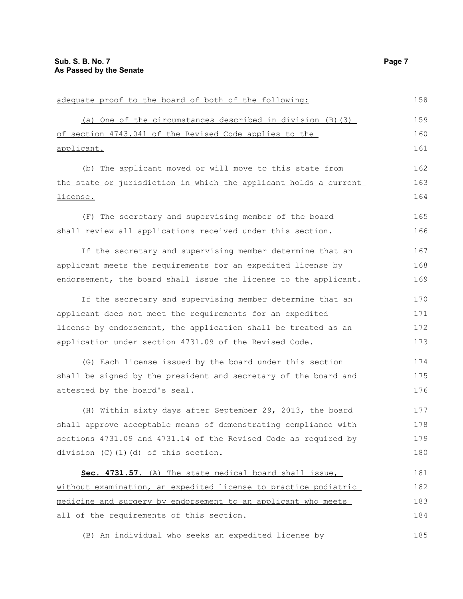| adequate proof to the board of both of the following:            | 158 |
|------------------------------------------------------------------|-----|
| (a) One of the circumstances described in division (B) (3)       | 159 |
| of section 4743.041 of the Revised Code applies to the           | 160 |
| applicant.                                                       | 161 |
| (b) The applicant moved or will move to this state from          | 162 |
| the state or jurisdiction in which the applicant holds a current | 163 |
| license.                                                         | 164 |
| (F) The secretary and supervising member of the board            | 165 |
| shall review all applications received under this section.       | 166 |
| If the secretary and supervising member determine that an        | 167 |
| applicant meets the requirements for an expedited license by     | 168 |
| endorsement, the board shall issue the license to the applicant. | 169 |
| If the secretary and supervising member determine that an        | 170 |
| applicant does not meet the requirements for an expedited        | 171 |
| license by endorsement, the application shall be treated as an   | 172 |
| application under section 4731.09 of the Revised Code.           | 173 |
| (G) Each license issued by the board under this section          | 174 |
| shall be signed by the president and secretary of the board and  | 175 |
| attested by the board's seal.                                    | 176 |
| (H) Within sixty days after September 29, 2013, the board        | 177 |
| shall approve acceptable means of demonstrating compliance with  | 178 |
| sections 4731.09 and 4731.14 of the Revised Code as required by  | 179 |
| division (C)(1)(d) of this section.                              | 180 |
| Sec. 4731.57. (A) The state medical board shall issue,           | 181 |
| without examination, an expedited license to practice podiatric  | 182 |
| medicine and surgery by endorsement to an applicant who meets    | 183 |
| all of the requirements of this section.                         | 184 |
| (B) An individual who seeks an expedited license by              | 185 |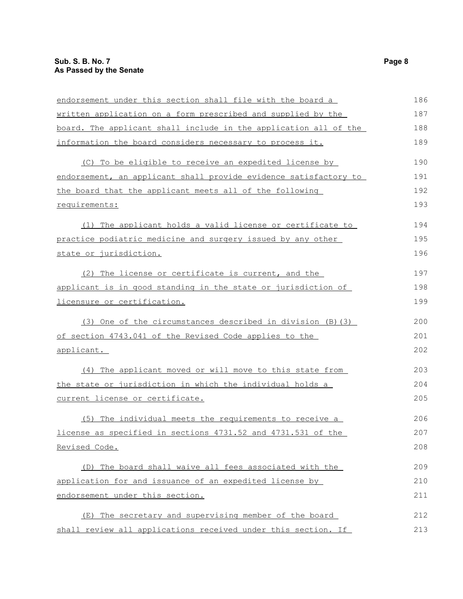| endorsement under this section shall file with the board a       | 186 |
|------------------------------------------------------------------|-----|
| written application on a form prescribed and supplied by the     | 187 |
| board. The applicant shall include in the application all of the | 188 |
| information the board considers necessary to process it.         | 189 |
| (C) To be eligible to receive an expedited license by            | 190 |
| endorsement, an applicant shall provide evidence satisfactory to | 191 |
| the board that the applicant meets all of the following          | 192 |
| requirements:                                                    | 193 |
| (1) The applicant holds a valid license or certificate to        | 194 |
| practice podiatric medicine and surgery issued by any other      | 195 |
| state or jurisdiction.                                           | 196 |
| (2) The license or certificate is current, and the               | 197 |
| applicant is in good standing in the state or jurisdiction of    | 198 |
| licensure or certification.                                      | 199 |
| (3) One of the circumstances described in division (B) (3)       | 200 |
| of section 4743.041 of the Revised Code applies to the           | 201 |
| applicant.                                                       | 202 |
| (4) The applicant moved or will move to this state from          | 203 |
| the state or jurisdiction in which the individual holds a        | 204 |
| current license or certificate.                                  | 205 |
| (5) The individual meets the requirements to receive a           | 206 |
| license as specified in sections 4731.52 and 4731.531 of the     | 207 |
| Revised Code.                                                    | 208 |
| (D) The board shall waive all fees associated with the           | 209 |
| application for and issuance of an expedited license by          | 210 |
| endorsement under this section.                                  | 211 |
| The secretary and supervising member of the board<br>(E)         | 212 |
| shall review all applications received under this section. If    | 213 |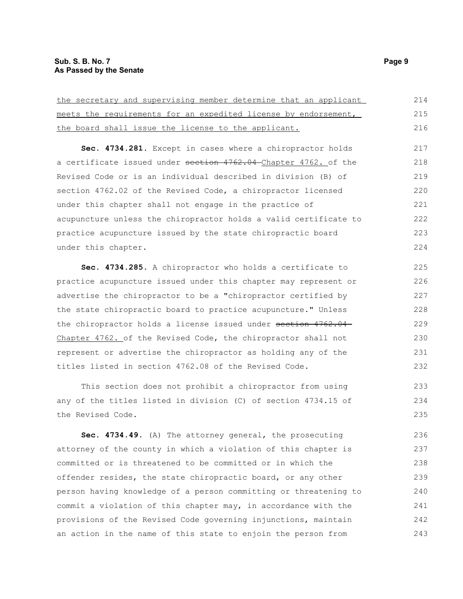| the secretary and supervising member determine that an applicant | 214 |
|------------------------------------------------------------------|-----|
| meets the requirements for an expedited license by endorsement,  | 215 |
| the board shall issue the license to the applicant.              | 216 |
| Sec. 4734.281. Except in cases where a chiropractor holds        | 217 |
| a certificate issued under section 4762.04 Chapter 4762. of the  | 218 |
| Revised Code or is an individual described in division (B) of    | 219 |
| section 4762.02 of the Revised Code, a chiropractor licensed     | 220 |
| under this chapter shall not engage in the practice of           | 221 |
| acupuncture unless the chiropractor holds a valid certificate to | 222 |
| practice acupuncture issued by the state chiropractic board      | 223 |
| under this chapter.                                              | 224 |
| Sec. 4734.285. A chiropractor who holds a certificate to         | 225 |
| practice acupuncture issued under this chapter may represent or  | 226 |
| advertise the chiropractor to be a "chiropractor certified by    | 227 |
| the state chiropractic board to practice acupuncture." Unless    | 228 |
| the chiropractor holds a license issued under section 4762.04    | 229 |
| Chapter 4762. of the Revised Code, the chiropractor shall not    | 230 |
| represent or advertise the chiropractor as holding any of the    | 231 |
| titles listed in section 4762.08 of the Revised Code.            | 232 |
| This section does not prohibit a chiropractor from using         | 233 |
| any of the titles listed in division (C) of section 4734.15 of   | 234 |
| the Revised Code.                                                | 235 |
| Sec. 4734.49. (A) The attorney general, the prosecuting          | 236 |
| attorney of the county in which a violation of this chapter is   | 237 |
|                                                                  |     |

the secretary and supervising member determine that an applicant meets the requirements for an expedited license by endorsement,

attorney of the county in which a violation of this chapter is committed or is threatened to be committed or in which the offender resides, the state chiropractic board, or any other person having knowledge of a person committing or threatening to commit a violation of this chapter may, in accordance with the provisions of the Revised Code governing injunctions, maintain an action in the name of this state to enjoin the person from 238 239 240 241 242 243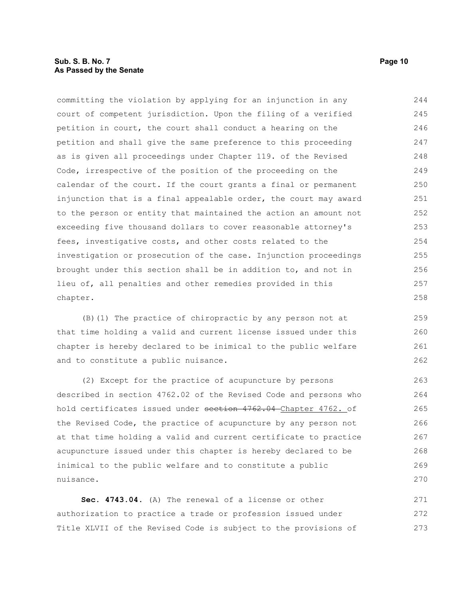# **Sub. S. B. No. 7 Page 10 As Passed by the Senate**

committing the violation by applying for an injunction in any court of competent jurisdiction. Upon the filing of a verified petition in court, the court shall conduct a hearing on the petition and shall give the same preference to this proceeding as is given all proceedings under Chapter 119. of the Revised Code, irrespective of the position of the proceeding on the calendar of the court. If the court grants a final or permanent injunction that is a final appealable order, the court may award to the person or entity that maintained the action an amount not exceeding five thousand dollars to cover reasonable attorney's fees, investigative costs, and other costs related to the investigation or prosecution of the case. Injunction proceedings brought under this section shall be in addition to, and not in lieu of, all penalties and other remedies provided in this chapter. 244 245 246 247 248 249 250 251 252 253 254 255 256 257 258

(B)(1) The practice of chiropractic by any person not at that time holding a valid and current license issued under this chapter is hereby declared to be inimical to the public welfare and to constitute a public nuisance.

(2) Except for the practice of acupuncture by persons described in section 4762.02 of the Revised Code and persons who hold certificates issued under section 4762.04 Chapter 4762. of the Revised Code, the practice of acupuncture by any person not at that time holding a valid and current certificate to practice acupuncture issued under this chapter is hereby declared to be inimical to the public welfare and to constitute a public nuisance.

**Sec. 4743.04.** (A) The renewal of a license or other authorization to practice a trade or profession issued under Title XLVII of the Revised Code is subject to the provisions of 271 272 273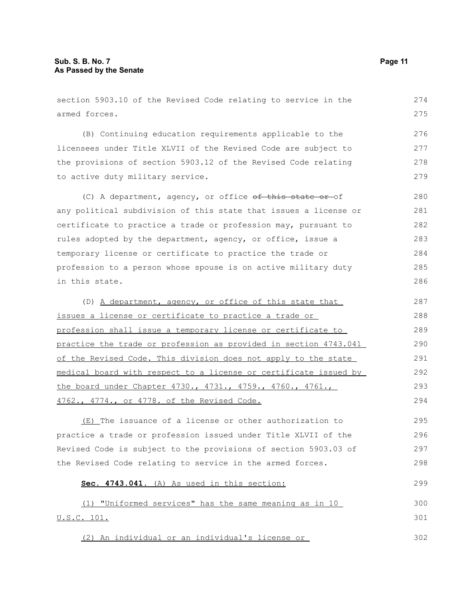| section 5903.10 of the Revised Code relating to service in the   | 274 |
|------------------------------------------------------------------|-----|
| armed forces.                                                    | 275 |
| (B) Continuing education requirements applicable to the          | 276 |
| licensees under Title XLVII of the Revised Code are subject to   | 277 |
| the provisions of section 5903.12 of the Revised Code relating   | 278 |
| to active duty military service.                                 | 279 |
| (C) A department, agency, or office of this state or of          | 280 |
| any political subdivision of this state that issues a license or | 281 |
| certificate to practice a trade or profession may, pursuant to   | 282 |
| rules adopted by the department, agency, or office, issue a      | 283 |
| temporary license or certificate to practice the trade or        | 284 |
| profession to a person whose spouse is on active military duty   | 285 |
| in this state.                                                   | 286 |
| (D) A department, agency, or office of this state that           | 287 |
| issues a license or certificate to practice a trade or           | 288 |
| profession shall issue a temporary license or certificate to     | 289 |
| practice the trade or profession as provided in section 4743.041 | 290 |
| of the Revised Code. This division does not apply to the state   | 291 |
| medical board with respect to a license or certificate issued by | 292 |
| the board under Chapter 4730., 4731., 4759., 4760., 4761.,       | 293 |
| 4762., 4774., or 4778. of the Revised Code.                      | 294 |
| (E) The issuance of a license or other authorization to          | 295 |
| practice a trade or profession issued under Title XLVII of the   | 296 |
| Revised Code is subject to the provisions of section 5903.03 of  | 297 |
| the Revised Code relating to service in the armed forces.        | 298 |
| Sec. 4743.041. (A) As used in this section:                      | 299 |
| (1) "Uniformed services" has the same meaning as in 10           | 300 |
| <u>U.S.C. 101.</u>                                               | 301 |
| (2) An individual or an individual's license or                  | 302 |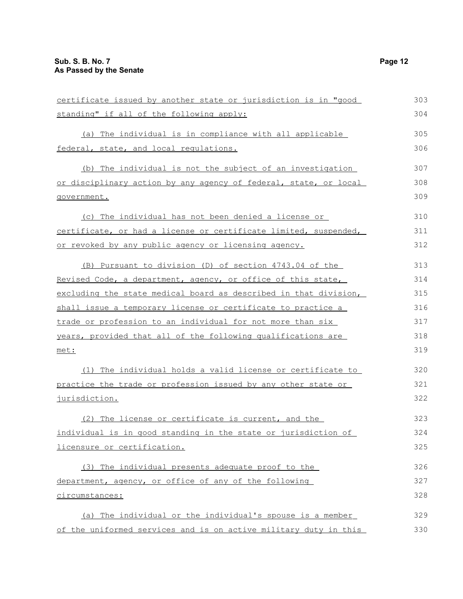| certificate issued by another state or jurisdiction is in "good  | 303 |
|------------------------------------------------------------------|-----|
| standing" if all of the following apply:                         | 304 |
| (a) The individual is in compliance with all applicable          | 305 |
| federal, state, and local requiations.                           | 306 |
| (b) The individual is not the subject of an investigation        | 307 |
| or disciplinary action by any agency of federal, state, or local | 308 |
| government.                                                      | 309 |
| (c) The individual has not been denied a license or              | 310 |
| certificate, or had a license or certificate limited, suspended, | 311 |
| or revoked by any public agency or licensing agency.             | 312 |
| (B) Pursuant to division (D) of section 4743.04 of the           | 313 |
| Revised Code, a department, agency, or office of this state,     | 314 |
| excluding the state medical board as described in that division, | 315 |
| shall issue a temporary license or certificate to practice a     | 316 |
| trade or profession to an individual for not more than six       | 317 |
| years, provided that all of the following qualifications are     | 318 |
| met:                                                             | 319 |
| (1) The individual holds a valid license or certificate to       | 320 |
| practice the trade or profession issued by any other state or    | 321 |
| jurisdiction.                                                    | 322 |
| (2) The license or certificate is current, and the               | 323 |
| individual is in good standing in the state or jurisdiction of   | 324 |
| licensure or certification.                                      | 325 |
| (3) The individual presents adequate proof to the                | 326 |
| department, agency, or office of any of the following            | 327 |
| circumstances:                                                   | 328 |
| (a) The individual or the individual's spouse is a member        | 329 |
| of the uniformed services and is on active military duty in this | 330 |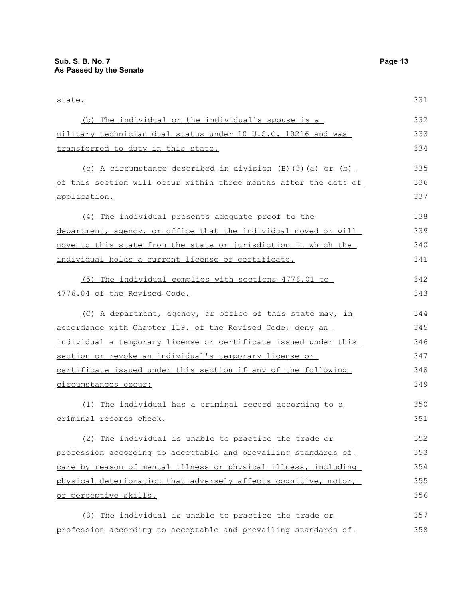| state.                                                           | 331 |
|------------------------------------------------------------------|-----|
| (b) The individual or the individual's spouse is a               | 332 |
| military technician dual status under 10 U.S.C. 10216 and was    | 333 |
| transferred to duty in this state.                               | 334 |
| (c) A circumstance described in division (B)(3)(a) or (b)        | 335 |
| of this section will occur within three months after the date of | 336 |
| application.                                                     | 337 |
| (4) The individual presents adequate proof to the                | 338 |
| department, agency, or office that the individual moved or will  | 339 |
| move to this state from the state or jurisdiction in which the   | 340 |
| individual holds a current license or certificate.               | 341 |
| (5) The individual complies with sections 4776.01 to             | 342 |
| 4776.04 of the Revised Code.                                     | 343 |
| (C) A department, agency, or office of this state may, in        | 344 |
| accordance with Chapter 119. of the Revised Code, deny an        | 345 |
| individual a temporary license or certificate issued under this  | 346 |
| section or revoke an individual's temporary license or           | 347 |
| certificate issued under this section if any of the following    | 348 |
| circumstances occur:                                             | 349 |
| (1) The individual has a criminal record according to a          | 350 |
| criminal records check.                                          | 351 |
| (2) The individual is unable to practice the trade or            | 352 |
| profession according to acceptable and prevailing standards of   | 353 |
| care by reason of mental illness or physical illness, including  | 354 |
| physical deterioration that adversely affects cognitive, motor,  | 355 |
| or perceptive skills.                                            | 356 |
| (3) The individual is unable to practice the trade or            | 357 |
| profession according to acceptable and prevailing standards of   | 358 |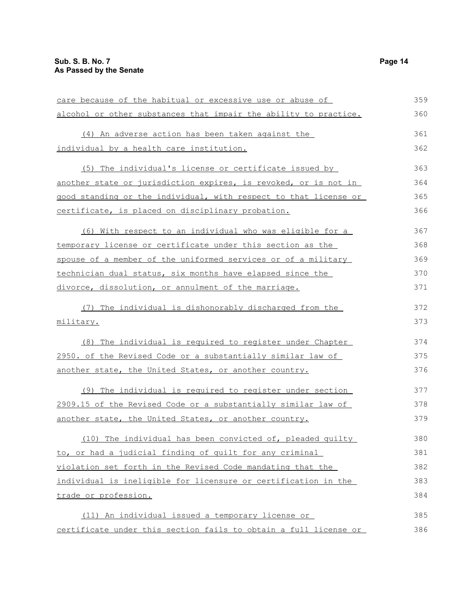| care because of the habitual or excessive use or abuse of        | 359 |
|------------------------------------------------------------------|-----|
| alcohol or other substances that impair the ability to practice. | 360 |
| (4) An adverse action has been taken against the                 | 361 |
| individual by a health care institution.                         | 362 |
| (5) The individual's license or certificate issued by            | 363 |
| another state or jurisdiction expires, is revoked, or is not in  | 364 |
| good standing or the individual, with respect to that license or | 365 |
| certificate, is placed on disciplinary probation.                | 366 |
| (6) With respect to an individual who was eligible for a         | 367 |
| temporary license or certificate under this section as the       | 368 |
| spouse of a member of the uniformed services or of a military    | 369 |
| technician dual status, six months have elapsed since the        | 370 |
| divorce, dissolution, or annulment of the marriage.              | 371 |
| (7) The individual is dishonorably discharged from the           | 372 |
| military.                                                        | 373 |
| (8) The individual is required to register under Chapter         | 374 |
| 2950. of the Revised Code or a substantially similar law of      | 375 |
| another state, the United States, or another country.            | 376 |
| (9) The individual is required to register under section         | 377 |
| 2909.15 of the Revised Code or a substantially similar law of    | 378 |
| another state, the United States, or another country.            | 379 |
| (10) The individual has been convicted of, pleaded quilty        | 380 |
| to, or had a judicial finding of quilt for any criminal          | 381 |
| violation set forth in the Revised Code mandating that the       | 382 |
| individual is ineligible for licensure or certification in the   | 383 |
| trade or profession.                                             | 384 |
| (11) An individual issued a temporary license or                 | 385 |
| certificate under this section fails to obtain a full license or | 386 |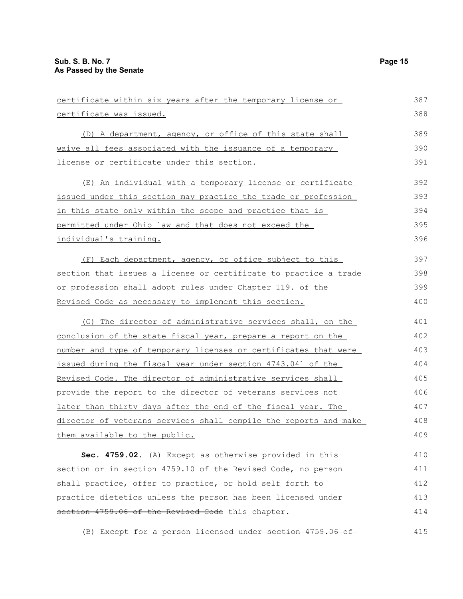certificate was issued.

| (D) A department, agency, or office of this state shall        | 389 |
|----------------------------------------------------------------|-----|
| waive all fees associated with the issuance of a temporary     | 390 |
| license or certificate under this section.                     | 391 |
| (E) An individual with a temporary license or certificate      | 392 |
| issued under this section may practice the trade or profession | 393 |
| in this state only within the scope and practice that is       | 394 |
| permitted under Ohio law and that does not exceed the          | 395 |

individual's training.

 (F) Each department, agency, or office subject to this section that issues a license or certificate to practice a trade or profession shall adopt rules under Chapter 119. of the Revised Code as necessary to implement this section. 397 398 399 400

(G) The director of administrative services shall, on the conclusion of the state fiscal year, prepare a report on the number and type of temporary licenses or certificates that were issued during the fiscal year under section 4743.041 of the Revised Code. The director of administrative services shall provide the report to the director of veterans services not later than thirty days after the end of the fiscal year. The director of veterans services shall compile the reports and make them available to the public. 401 402 403 404 405 406 407 408 409

**Sec. 4759.02.** (A) Except as otherwise provided in this section or in section 4759.10 of the Revised Code, no person shall practice, offer to practice, or hold self forth to practice dietetics unless the person has been licensed under section 4759.06 of the Revised Code this chapter. 410 411 412 413 414

(B) Except for a person licensed under-section 4759.06 of 415

387 388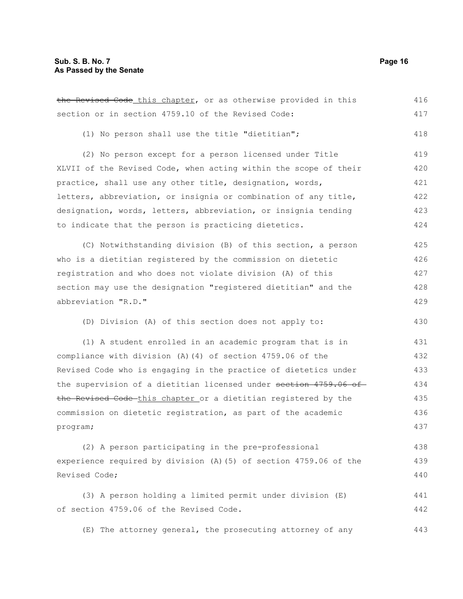the Revised Code this chapter, or as otherwise provided in this section or in section 4759.10 of the Revised Code: (1) No person shall use the title "dietitian"; (2) No person except for a person licensed under Title XLVII of the Revised Code, when acting within the scope of their practice, shall use any other title, designation, words, letters, abbreviation, or insignia or combination of any title, designation, words, letters, abbreviation, or insignia tending to indicate that the person is practicing dietetics. (C) Notwithstanding division (B) of this section, a person who is a dietitian registered by the commission on dietetic registration and who does not violate division (A) of this section may use the designation "registered dietitian" and the abbreviation "R.D." (D) Division (A) of this section does not apply to: (1) A student enrolled in an academic program that is in compliance with division (A)(4) of section 4759.06 of the Revised Code who is engaging in the practice of dietetics under the supervision of a dietitian licensed under section 4759.06 of the Revised Code-this chapter or a dietitian registered by the commission on dietetic registration, as part of the academic program; (2) A person participating in the pre-professional experience required by division (A)(5) of section 4759.06 of the Revised Code; 416 417 418 419 420 421 422 423 424 425 426 427 428 429 430 431 432 433 434 435 436 437 438 439 440

(3) A person holding a limited permit under division (E) of section 4759.06 of the Revised Code. 441 442

(E) The attorney general, the prosecuting attorney of any 443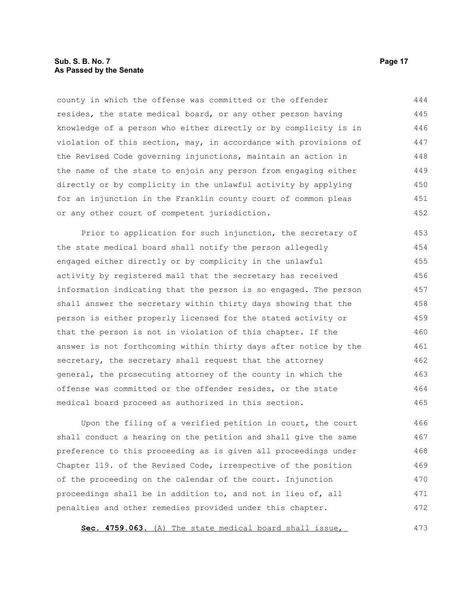# **Sub. S. B. No. 7 Page 17 As Passed by the Senate**

county in which the offense was committed or the offender resides, the state medical board, or any other person having knowledge of a person who either directly or by complicity is in violation of this section, may, in accordance with provisions of the Revised Code governing injunctions, maintain an action in the name of the state to enjoin any person from engaging either directly or by complicity in the unlawful activity by applying for an injunction in the Franklin county court of common pleas or any other court of competent jurisdiction. 444 445 446 447 448 449 450 451 452

Prior to application for such injunction, the secretary of the state medical board shall notify the person allegedly engaged either directly or by complicity in the unlawful activity by registered mail that the secretary has received information indicating that the person is so engaged. The person shall answer the secretary within thirty days showing that the person is either properly licensed for the stated activity or that the person is not in violation of this chapter. If the answer is not forthcoming within thirty days after notice by the secretary, the secretary shall request that the attorney general, the prosecuting attorney of the county in which the offense was committed or the offender resides, or the state medical board proceed as authorized in this section. 453 454 455 456 457 458 459 460 461 462 463 464 465

Upon the filing of a verified petition in court, the court shall conduct a hearing on the petition and shall give the same preference to this proceeding as is given all proceedings under Chapter 119. of the Revised Code, irrespective of the position of the proceeding on the calendar of the court. Injunction proceedings shall be in addition to, and not in lieu of, all penalties and other remedies provided under this chapter. 466 467 468 469 470 471 472

**Sec. 4759.063.** (A) The state medical board shall issue,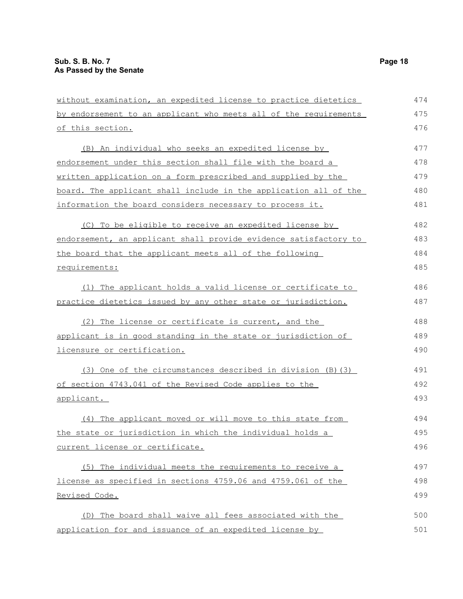| without examination, an expedited license to practice dietetics  | 474 |
|------------------------------------------------------------------|-----|
| by endorsement to an applicant who meets all of the requirements | 475 |
| of this section.                                                 | 476 |
| (B) An individual who seeks an expedited license by              | 477 |
| endorsement under this section shall file with the board a       | 478 |
| written application on a form prescribed and supplied by the     | 479 |
| board. The applicant shall include in the application all of the | 480 |
| information the board considers necessary to process it.         | 481 |
| (C) To be eligible to receive an expedited license by            | 482 |
| endorsement, an applicant shall provide evidence satisfactory to | 483 |
| the board that the applicant meets all of the following          | 484 |
| requirements:                                                    | 485 |
| (1) The applicant holds a valid license or certificate to        | 486 |
| practice dietetics issued by any other state or jurisdiction.    | 487 |
| (2) The license or certificate is current, and the               | 488 |
| applicant is in good standing in the state or jurisdiction of    | 489 |
| licensure or certification.                                      | 490 |
| (3) One of the circumstances described in division (B) (3)       | 491 |
| of section 4743.041 of the Revised Code applies to the           | 492 |
| applicant.                                                       | 493 |
| (4) The applicant moved or will move to this state from          | 494 |
| the state or jurisdiction in which the individual holds a        | 495 |
| current license or certificate.                                  | 496 |
| (5) The individual meets the requirements to receive a           | 497 |
| license as specified in sections 4759.06 and 4759.061 of the     | 498 |
| <u>Revised Code.</u>                                             | 499 |
| (D) The board shall waive all fees associated with the           | 500 |
| application for and issuance of an expedited license by          | 501 |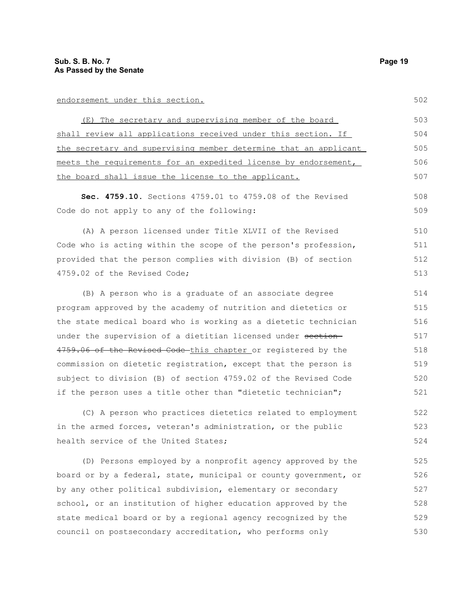### endorsement under this section.

(E) The secretary and supervising member of the board shall review all applications received under this section. If the secretary and supervising member determine that an applicant meets the requirements for an expedited license by endorsement, the board shall issue the license to the applicant. 503 504 505 506 507

**Sec. 4759.10.** Sections 4759.01 to 4759.08 of the Revised Code do not apply to any of the following:

(A) A person licensed under Title XLVII of the Revised Code who is acting within the scope of the person's profession, provided that the person complies with division (B) of section 4759.02 of the Revised Code;

(B) A person who is a graduate of an associate degree program approved by the academy of nutrition and dietetics or the state medical board who is working as a dietetic technician under the supervision of a dietitian licensed under section-4759.06 of the Revised Code this chapter or registered by the commission on dietetic registration, except that the person is subject to division (B) of section 4759.02 of the Revised Code if the person uses a title other than "dietetic technician"; 514 515 516 517 518 519 520 521

(C) A person who practices dietetics related to employment in the armed forces, veteran's administration, or the public health service of the United States; 522 523 524

(D) Persons employed by a nonprofit agency approved by the board or by a federal, state, municipal or county government, or by any other political subdivision, elementary or secondary school, or an institution of higher education approved by the state medical board or by a regional agency recognized by the council on postsecondary accreditation, who performs only 525 526 527 528 529 530

502

508

509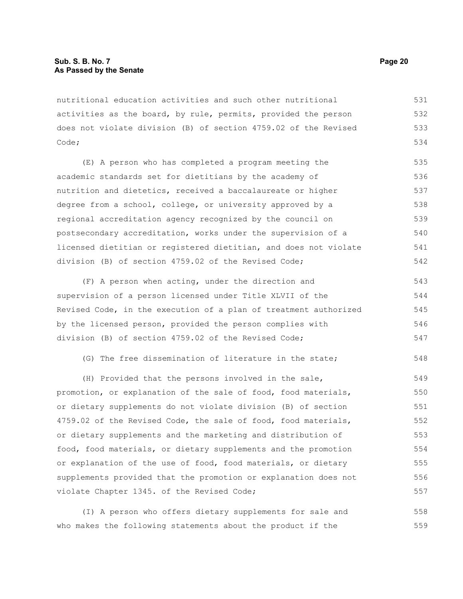nutritional education activities and such other nutritional activities as the board, by rule, permits, provided the person does not violate division (B) of section 4759.02 of the Revised Code; 531 532 533 534

(E) A person who has completed a program meeting the academic standards set for dietitians by the academy of nutrition and dietetics, received a baccalaureate or higher degree from a school, college, or university approved by a regional accreditation agency recognized by the council on postsecondary accreditation, works under the supervision of a licensed dietitian or registered dietitian, and does not violate division (B) of section 4759.02 of the Revised Code; 535 536 537 538 539 540 541 542

(F) A person when acting, under the direction and supervision of a person licensed under Title XLVII of the Revised Code, in the execution of a plan of treatment authorized by the licensed person, provided the person complies with division (B) of section 4759.02 of the Revised Code; 543 544 545 546 547

(G) The free dissemination of literature in the state; 548

(H) Provided that the persons involved in the sale, promotion, or explanation of the sale of food, food materials, or dietary supplements do not violate division (B) of section 4759.02 of the Revised Code, the sale of food, food materials, or dietary supplements and the marketing and distribution of food, food materials, or dietary supplements and the promotion or explanation of the use of food, food materials, or dietary supplements provided that the promotion or explanation does not violate Chapter 1345. of the Revised Code; 549 550 551 552 553 554 555 556 557

(I) A person who offers dietary supplements for sale and who makes the following statements about the product if the 558 559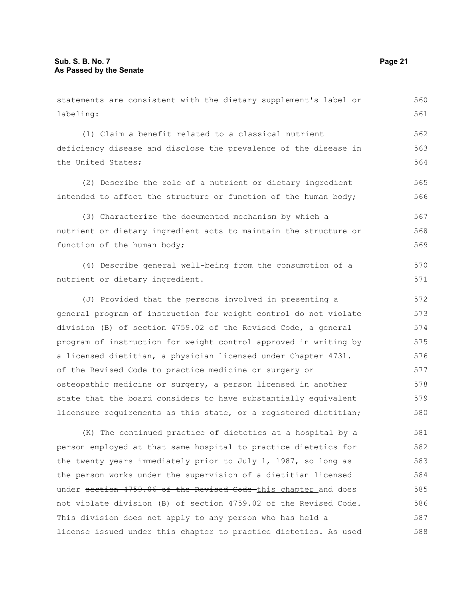labeling: (1) Claim a benefit related to a classical nutrient deficiency disease and disclose the prevalence of the disease in the United States; (2) Describe the role of a nutrient or dietary ingredient intended to affect the structure or function of the human body; (3) Characterize the documented mechanism by which a nutrient or dietary ingredient acts to maintain the structure or function of the human body; (4) Describe general well-being from the consumption of a nutrient or dietary ingredient. (J) Provided that the persons involved in presenting a general program of instruction for weight control do not violate division (B) of section 4759.02 of the Revised Code, a general program of instruction for weight control approved in writing by a licensed dietitian, a physician licensed under Chapter 4731. of the Revised Code to practice medicine or surgery or osteopathic medicine or surgery, a person licensed in another state that the board considers to have substantially equivalent licensure requirements as this state, or a registered dietitian; (K) The continued practice of dietetics at a hospital by a person employed at that same hospital to practice dietetics for the twenty years immediately prior to July 1, 1987, so long as the person works under the supervision of a dietitian licensed under section 4759.06 of the Revised Code this chapter and does not violate division (B) of section 4759.02 of the Revised Code. 561 562 563 564 565 566 567 568 569 570 571 572 573 574 575 576 577 578 579 580 581 582 583 584 585 586

This division does not apply to any person who has held a

license issued under this chapter to practice dietetics. As used

statements are consistent with the dietary supplement's label or

560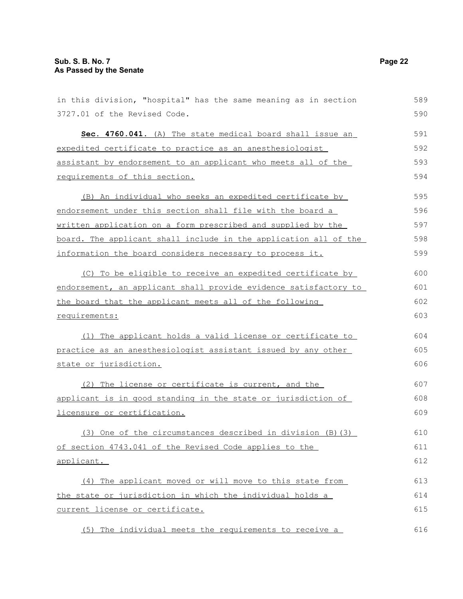| in this division, "hospital" has the same meaning as in section  | 589 |
|------------------------------------------------------------------|-----|
| 3727.01 of the Revised Code.                                     | 590 |
| Sec. 4760.041. (A) The state medical board shall issue an        | 591 |
| expedited certificate to practice as an anesthesiologist         | 592 |
| assistant by endorsement to an applicant who meets all of the    | 593 |
| requirements of this section.                                    | 594 |
| (B) An individual who seeks an expedited certificate by          | 595 |
| endorsement under this section shall file with the board a       | 596 |
| written application on a form prescribed and supplied by the     | 597 |
| board. The applicant shall include in the application all of the | 598 |

(C) To be eligible to receive an expedited certificate by endorsement, an applicant shall provide evidence satisfactory to the board that the applicant meets all of the following requirements: 600 601 602 603

information the board considers necessary to process it.

(1) The applicant holds a valid license or certificate to practice as an anesthesiologist assistant issued by any other state or jurisdiction.

(2) The license or certificate is current, and the applicant is in good standing in the state or jurisdiction of licensure or certification. 607 608 609

(3) One of the circumstances described in division (B)(3) of section 4743.041 of the Revised Code applies to the applicant. 610 611 612

(4) The applicant moved or will move to this state from the state or jurisdiction in which the individual holds a current license or certificate. 613 614 615

(5) The individual meets the requirements to receive a

599

604 605 606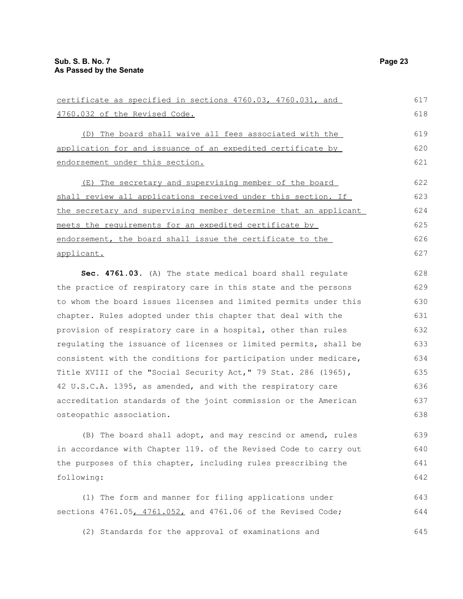| certificate as specified in sections 4760.03, 4760.031, and      | 617 |
|------------------------------------------------------------------|-----|
| 4760.032 of the Revised Code.                                    | 618 |
| (D) The board shall waive all fees associated with the           | 619 |
| application for and issuance of an expedited certificate by      | 620 |
| endorsement under this section.                                  | 621 |
| (E) The secretary and supervising member of the board            | 622 |
| shall review all applications received under this section. If    | 623 |
| the secretary and supervising member determine that an applicant | 624 |
| meets the requirements for an expedited certificate by           | 625 |
| endorsement, the board shall issue the certificate to the        | 626 |
| applicant.                                                       | 627 |
| Sec. 4761.03. (A) The state medical board shall regulate         | 628 |
| the practice of respiratory care in this state and the persons   | 629 |
| to whom the board issues licenses and limited permits under this | 630 |
| chapter. Rules adopted under this chapter that deal with the     | 631 |
| provision of respiratory care in a hospital, other than rules    | 632 |
| requlating the issuance of licenses or limited permits, shall be | 633 |
| consistent with the conditions for participation under medicare, | 634 |
| Title XVIII of the "Social Security Act," 79 Stat. 286 (1965),   | 635 |
| 42 U.S.C.A. 1395, as amended, and with the respiratory care      | 636 |
| accreditation standards of the joint commission or the American  | 637 |
| osteopathic association.                                         | 638 |
| (B) The board shall adopt, and may rescind or amend, rules       | 639 |

in accordance with Chapter 119. of the Revised Code to carry out the purposes of this chapter, including rules prescribing the following: 640 641 642

(1) The form and manner for filing applications under sections 4761.05, 4761.052, and 4761.06 of the Revised Code; 643 644

(2) Standards for the approval of examinations and 645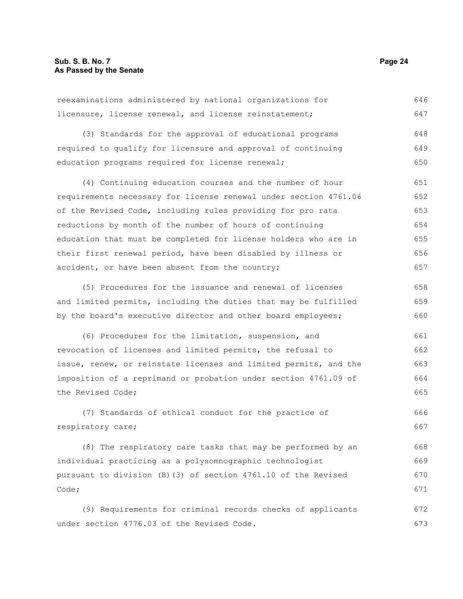| reexaminations administered by national organizations for        | 646 |
|------------------------------------------------------------------|-----|
| licensure, license renewal, and license reinstatement;           | 647 |
| (3) Standards for the approval of educational programs           | 648 |
| required to qualify for licensure and approval of continuing     | 649 |
| education programs required for license renewal;                 | 650 |
| (4) Continuing education courses and the number of hour          | 651 |
| requirements necessary for license renewal under section 4761.06 | 652 |
| of the Revised Code, including rules providing for pro rata      | 653 |
| reductions by month of the number of hours of continuing         | 654 |
| education that must be completed for license holders who are in  | 655 |
| their first renewal period, have been disabled by illness or     | 656 |
| accident, or have been absent from the country;                  | 657 |
| (5) Procedures for the issuance and renewal of licenses          | 658 |
| and limited permits, including the duties that may be fulfilled  | 659 |
| by the board's executive director and other board employees;     | 660 |
| (6) Procedures for the limitation, suspension, and               | 661 |
| revocation of licenses and limited permits, the refusal to       | 662 |
| issue, renew, or reinstate licenses and limited permits, and the | 663 |
| imposition of a reprimand or probation under section 4761.09 of  | 664 |
| the Revised Code;                                                | 665 |
| (7) Standards of ethical conduct for the practice of             | 666 |
| respiratory care;                                                | 667 |
| (8) The respiratory care tasks that may be performed by an       | 668 |
| individual practicing as a polysomnographic technologist         | 669 |
| pursuant to division (B)(3) of section 4761.10 of the Revised    | 670 |
| Code;                                                            | 671 |
| (9) Requirements for criminal records checks of applicants       | 672 |
| under section 4776.03 of the Revised Code.                       | 673 |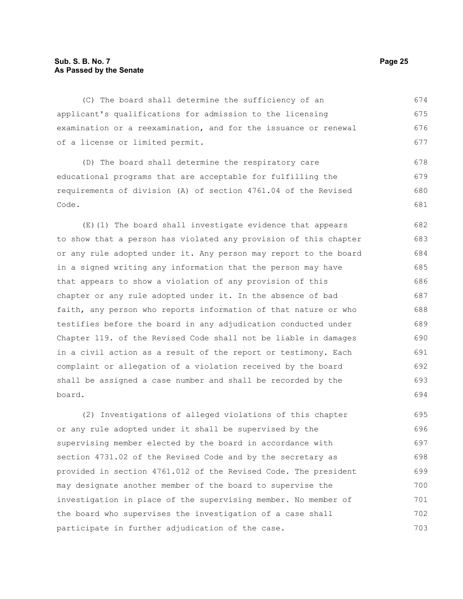(C) The board shall determine the sufficiency of an applicant's qualifications for admission to the licensing examination or a reexamination, and for the issuance or renewal of a license or limited permit. 674 675 676 677

(D) The board shall determine the respiratory care educational programs that are acceptable for fulfilling the requirements of division (A) of section 4761.04 of the Revised Code.

(E)(1) The board shall investigate evidence that appears to show that a person has violated any provision of this chapter or any rule adopted under it. Any person may report to the board in a signed writing any information that the person may have that appears to show a violation of any provision of this chapter or any rule adopted under it. In the absence of bad faith, any person who reports information of that nature or who testifies before the board in any adjudication conducted under Chapter 119. of the Revised Code shall not be liable in damages in a civil action as a result of the report or testimony. Each complaint or allegation of a violation received by the board shall be assigned a case number and shall be recorded by the board. 682 683 684 685 686 687 688 689 690 691 692 693 694

(2) Investigations of alleged violations of this chapter or any rule adopted under it shall be supervised by the supervising member elected by the board in accordance with section 4731.02 of the Revised Code and by the secretary as provided in section 4761.012 of the Revised Code. The president may designate another member of the board to supervise the investigation in place of the supervising member. No member of the board who supervises the investigation of a case shall participate in further adjudication of the case. 695 696 697 698 699 700 701 702 703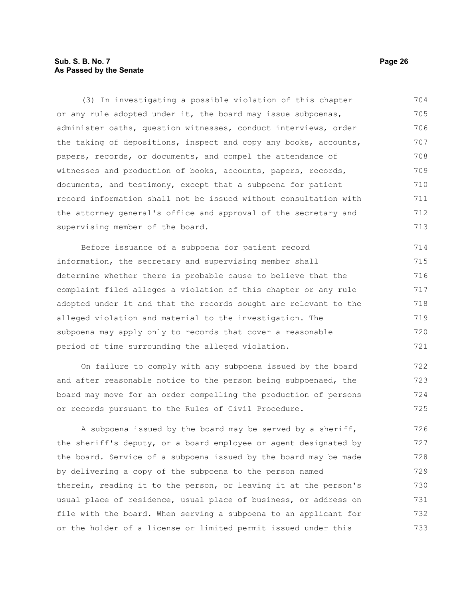# **Sub. S. B. No. 7 Page 26 As Passed by the Senate**

(3) In investigating a possible violation of this chapter or any rule adopted under it, the board may issue subpoenas, administer oaths, question witnesses, conduct interviews, order the taking of depositions, inspect and copy any books, accounts, papers, records, or documents, and compel the attendance of witnesses and production of books, accounts, papers, records, documents, and testimony, except that a subpoena for patient record information shall not be issued without consultation with the attorney general's office and approval of the secretary and supervising member of the board. 704 705 706 707 708 709 710 711 712 713

Before issuance of a subpoena for patient record information, the secretary and supervising member shall determine whether there is probable cause to believe that the complaint filed alleges a violation of this chapter or any rule adopted under it and that the records sought are relevant to the alleged violation and material to the investigation. The subpoena may apply only to records that cover a reasonable period of time surrounding the alleged violation. 714 715 716 717 718 719 720 721

On failure to comply with any subpoena issued by the board and after reasonable notice to the person being subpoenaed, the board may move for an order compelling the production of persons or records pursuant to the Rules of Civil Procedure. 722 723 724 725

A subpoena issued by the board may be served by a sheriff, the sheriff's deputy, or a board employee or agent designated by the board. Service of a subpoena issued by the board may be made by delivering a copy of the subpoena to the person named therein, reading it to the person, or leaving it at the person's usual place of residence, usual place of business, or address on file with the board. When serving a subpoena to an applicant for or the holder of a license or limited permit issued under this 726 727 728 729 730 731 732 733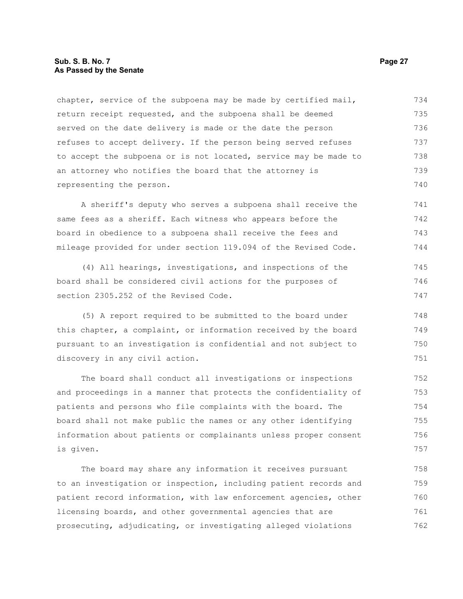# **Sub. S. B. No. 7 Page 27 As Passed by the Senate**

chapter, service of the subpoena may be made by certified mail, return receipt requested, and the subpoena shall be deemed served on the date delivery is made or the date the person refuses to accept delivery. If the person being served refuses to accept the subpoena or is not located, service may be made to an attorney who notifies the board that the attorney is representing the person. 734 735 736 737 738 739 740

A sheriff's deputy who serves a subpoena shall receive the same fees as a sheriff. Each witness who appears before the board in obedience to a subpoena shall receive the fees and mileage provided for under section 119.094 of the Revised Code. 741 742 743 744

(4) All hearings, investigations, and inspections of the board shall be considered civil actions for the purposes of section 2305.252 of the Revised Code. 745 746 747

(5) A report required to be submitted to the board under this chapter, a complaint, or information received by the board pursuant to an investigation is confidential and not subject to discovery in any civil action.

The board shall conduct all investigations or inspections and proceedings in a manner that protects the confidentiality of patients and persons who file complaints with the board. The board shall not make public the names or any other identifying information about patients or complainants unless proper consent is given.

The board may share any information it receives pursuant to an investigation or inspection, including patient records and patient record information, with law enforcement agencies, other licensing boards, and other governmental agencies that are prosecuting, adjudicating, or investigating alleged violations 758 759 760 761 762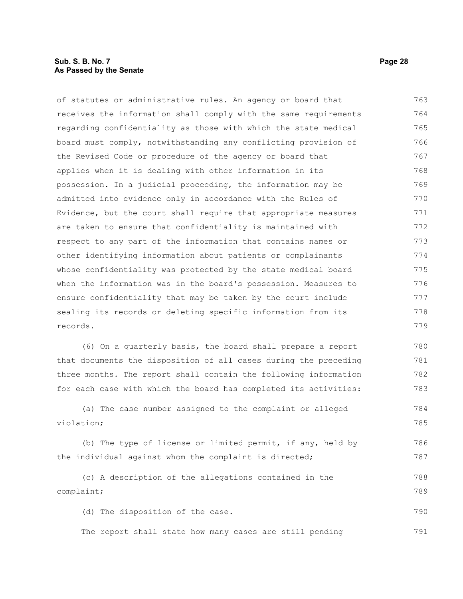# **Sub. S. B. No. 7 Page 28 As Passed by the Senate**

of statutes or administrative rules. An agency or board that receives the information shall comply with the same requirements regarding confidentiality as those with which the state medical board must comply, notwithstanding any conflicting provision of the Revised Code or procedure of the agency or board that applies when it is dealing with other information in its possession. In a judicial proceeding, the information may be admitted into evidence only in accordance with the Rules of Evidence, but the court shall require that appropriate measures are taken to ensure that confidentiality is maintained with respect to any part of the information that contains names or other identifying information about patients or complainants whose confidentiality was protected by the state medical board when the information was in the board's possession. Measures to ensure confidentiality that may be taken by the court include sealing its records or deleting specific information from its records. 763 764 765 766 767 768 769 770 771 772 773 774 775 776 777 778 779

(6) On a quarterly basis, the board shall prepare a report that documents the disposition of all cases during the preceding three months. The report shall contain the following information for each case with which the board has completed its activities: 780 781 782 783

(a) The case number assigned to the complaint or alleged violation; 784 785

(b) The type of license or limited permit, if any, held by the individual against whom the complaint is directed; 786 787

```
(c) A description of the allegations contained in the
complaint;
                                                                             788
                                                                             789
```
(d) The disposition of the case. 790

The report shall state how many cases are still pending 791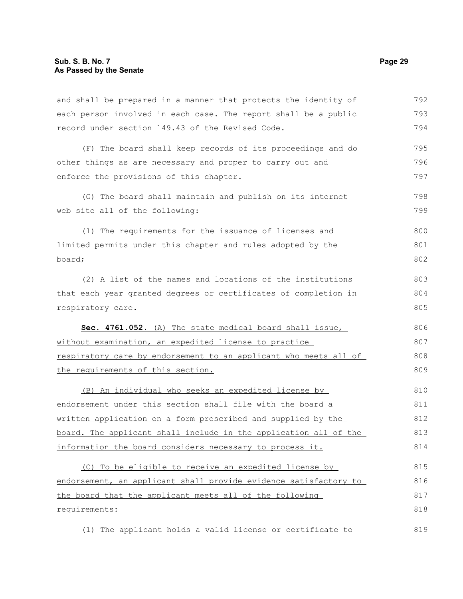and shall be prepared in a manner that protects the identity of each person involved in each case. The report shall be a public record under section 149.43 of the Revised Code. (F) The board shall keep records of its proceedings and do other things as are necessary and proper to carry out and enforce the provisions of this chapter. (G) The board shall maintain and publish on its internet web site all of the following: (1) The requirements for the issuance of licenses and limited permits under this chapter and rules adopted by the board; (2) A list of the names and locations of the institutions that each year granted degrees or certificates of completion in respiratory care. **Sec. 4761.052.** (A) The state medical board shall issue, without examination, an expedited license to practice respiratory care by endorsement to an applicant who meets all of the requirements of this section. (B) An individual who seeks an expedited license by endorsement under this section shall file with the board a written application on a form prescribed and supplied by the board. The applicant shall include in the application all of the information the board considers necessary to process it. (C) To be eligible to receive an expedited license by endorsement, an applicant shall provide evidence satisfactory to the board that the applicant meets all of the following requirements: 792 793 794 795 796 797 798 799 800 801 802 803 804 805 806 807 808 809 810 811 812 813 814 815 816 817 818

(1) The applicant holds a valid license or certificate to 819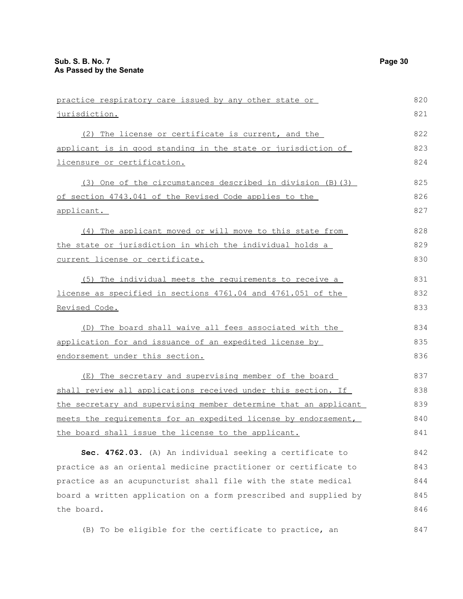| practice respiratory care issued by any other state or           | 820 |
|------------------------------------------------------------------|-----|
| jurisdiction.                                                    | 821 |
| (2) The license or certificate is current, and the               | 822 |
| applicant is in good standing in the state or jurisdiction of    | 823 |
| licensure or certification.                                      | 824 |
| (3) One of the circumstances described in division (B) (3)       | 825 |
| of section 4743.041 of the Revised Code applies to the           | 826 |
| <u>applicant.</u>                                                | 827 |
| (4) The applicant moved or will move to this state from          | 828 |
| the state or jurisdiction in which the individual holds a        | 829 |
| current license or certificate.                                  | 830 |
| (5) The individual meets the requirements to receive a           | 831 |
| license as specified in sections 4761.04 and 4761.051 of the     | 832 |
| Revised Code.                                                    | 833 |
| (D) The board shall waive all fees associated with the           | 834 |
| application for and issuance of an expedited license by          | 835 |
| endorsement under this section.                                  | 836 |
| (E) The secretary and supervising member of the board            | 837 |
| shall review all applications received under this section. If    | 838 |
| the secretary and supervising member determine that an applicant | 839 |
| meets the requirements for an expedited license by endorsement,  | 840 |
| the board shall issue the license to the applicant.              | 841 |
| Sec. 4762.03. (A) An individual seeking a certificate to         | 842 |
| practice as an oriental medicine practitioner or certificate to  | 843 |
| practice as an acupuncturist shall file with the state medical   | 844 |
| board a written application on a form prescribed and supplied by | 845 |
| the board.                                                       | 846 |

(B) To be eligible for the certificate to practice, an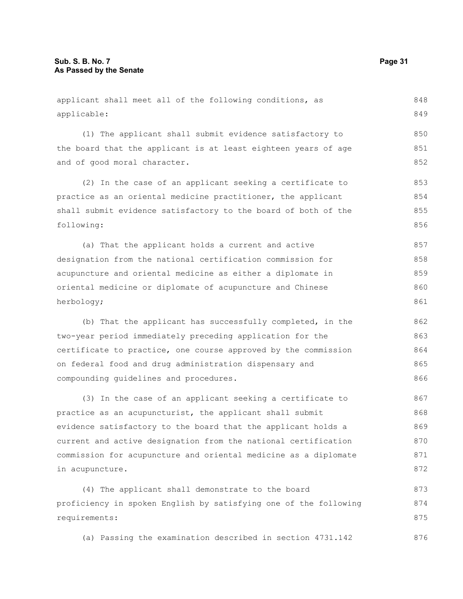applicant shall meet all of the following conditions, as applicable: (1) The applicant shall submit evidence satisfactory to the board that the applicant is at least eighteen years of age and of good moral character. (2) In the case of an applicant seeking a certificate to practice as an oriental medicine practitioner, the applicant shall submit evidence satisfactory to the board of both of the following: (a) That the applicant holds a current and active designation from the national certification commission for acupuncture and oriental medicine as either a diplomate in oriental medicine or diplomate of acupuncture and Chinese herbology; (b) That the applicant has successfully completed, in the two-year period immediately preceding application for the certificate to practice, one course approved by the commission on federal food and drug administration dispensary and compounding guidelines and procedures. (3) In the case of an applicant seeking a certificate to practice as an acupuncturist, the applicant shall submit evidence satisfactory to the board that the applicant holds a current and active designation from the national certification commission for acupuncture and oriental medicine as a diplomate in acupuncture. (4) The applicant shall demonstrate to the board proficiency in spoken English by satisfying one of the following requirements: 848 849 850 851 852 853 854 855 856 857 858 859 860 861 862 863 864 865 866 867 868 869 870 871 872 873 874 875

(a) Passing the examination described in section 4731.142 876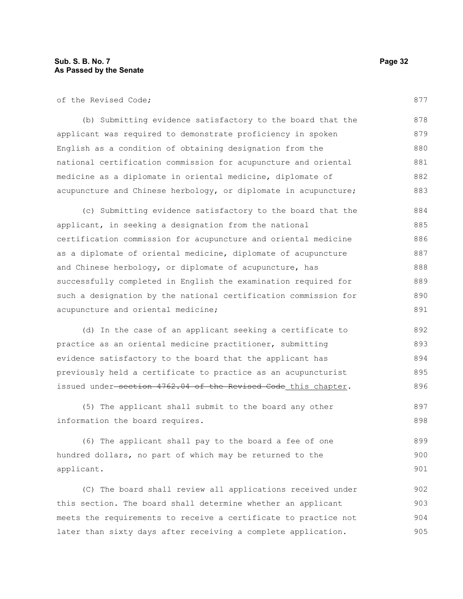of the Revised Code;

(b) Submitting evidence satisfactory to the board that the applicant was required to demonstrate proficiency in spoken English as a condition of obtaining designation from the national certification commission for acupuncture and oriental medicine as a diplomate in oriental medicine, diplomate of acupuncture and Chinese herbology, or diplomate in acupuncture; 878 879 880 881 882 883

(c) Submitting evidence satisfactory to the board that the applicant, in seeking a designation from the national certification commission for acupuncture and oriental medicine as a diplomate of oriental medicine, diplomate of acupuncture and Chinese herbology, or diplomate of acupuncture, has successfully completed in English the examination required for such a designation by the national certification commission for acupuncture and oriental medicine; 884 885 886 887 888 889 890 891

(d) In the case of an applicant seeking a certificate to practice as an oriental medicine practitioner, submitting evidence satisfactory to the board that the applicant has previously held a certificate to practice as an acupuncturist issued under-section 4762.04 of the Revised Code this chapter. 892 893 894 895 896

(5) The applicant shall submit to the board any other information the board requires. 897 898

(6) The applicant shall pay to the board a fee of one hundred dollars, no part of which may be returned to the applicant. 899 900 901

(C) The board shall review all applications received under this section. The board shall determine whether an applicant meets the requirements to receive a certificate to practice not later than sixty days after receiving a complete application. 902 903 904 905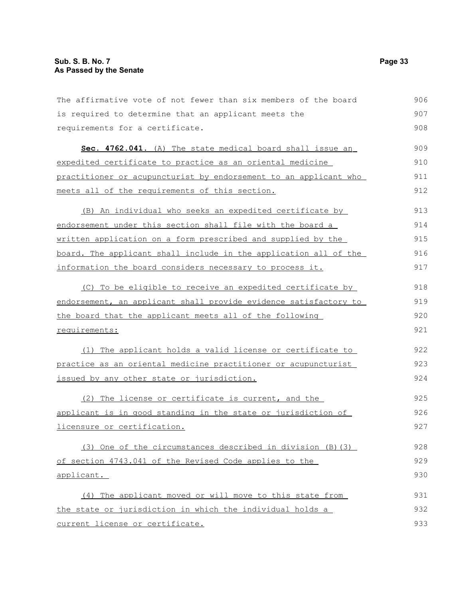| The affirmative vote of not fewer than six members of the board  | 906 |
|------------------------------------------------------------------|-----|
| is required to determine that an applicant meets the             | 907 |
| requirements for a certificate.                                  | 908 |
| Sec. 4762.041. (A) The state medical board shall issue an        | 909 |
| expedited certificate to practice as an oriental medicine        | 910 |
| practitioner or acupuncturist by endorsement to an applicant who | 911 |
| meets all of the requirements of this section.                   | 912 |
| (B) An individual who seeks an expedited certificate by          | 913 |
| endorsement under this section shall file with the board a       | 914 |
| written application on a form prescribed and supplied by the     | 915 |
| board. The applicant shall include in the application all of the | 916 |
| information the board considers necessary to process it.         | 917 |
| (C) To be eligible to receive an expedited certificate by        | 918 |
| endorsement, an applicant shall provide evidence satisfactory to | 919 |
| the board that the applicant meets all of the following          | 920 |
| requirements:                                                    | 921 |
| (1) The applicant holds a valid license or certificate to        | 922 |
| practice as an oriental medicine practitioner or acupuncturist   | 923 |
| issued by any other state or jurisdiction.                       | 924 |
| (2) The license or certificate is current, and the               | 925 |
| applicant is in good standing in the state or jurisdiction of    | 926 |
| licensure or certification.                                      | 927 |
| (3) One of the circumstances described in division (B) (3)       | 928 |
| of section 4743.041 of the Revised Code applies to the           | 929 |
| applicant.                                                       | 930 |
| (4) The applicant moved or will move to this state from          | 931 |
| the state or jurisdiction in which the individual holds a        | 932 |
| current license or certificate.                                  | 933 |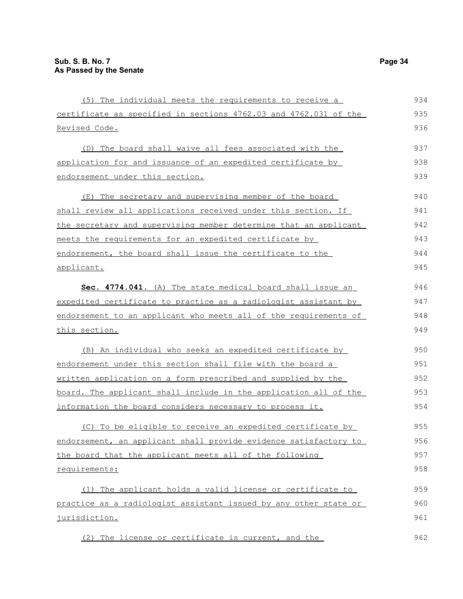| (5) The individual meets the requirements to receive a           | 934 |
|------------------------------------------------------------------|-----|
| certificate as specified in sections 4762.03 and 4762.031 of the | 935 |
| <u>Revised Code.</u>                                             | 936 |
| (D) The board shall waive all fees associated with the           | 937 |
| application for and issuance of an expedited certificate by      | 938 |
| endorsement under this section.                                  | 939 |
| (E) The secretary and supervising member of the board            | 940 |
| shall review all applications received under this section. If    | 941 |
| the secretary and supervising member determine that an applicant | 942 |
| meets the requirements for an expedited certificate by           | 943 |
| endorsement, the board shall issue the certificate to the        | 944 |
| applicant.                                                       | 945 |
| Sec. 4774.041. (A) The state medical board shall issue an        | 946 |
| expedited certificate to practice as a radiologist assistant by  | 947 |
| endorsement to an applicant who meets all of the requirements of | 948 |
| this section.                                                    | 949 |
| (B) An individual who seeks an expedited certificate by          | 950 |
| endorsement under this section shall file with the board a       | 951 |
| written application on a form prescribed and supplied by the     | 952 |
| board. The applicant shall include in the application all of the | 953 |
| information the board considers necessary to process it.         | 954 |
| (C) To be eligible to receive an expedited certificate by        | 955 |
| endorsement, an applicant shall provide evidence satisfactory to | 956 |
| the board that the applicant meets all of the following          | 957 |
| requirements:                                                    | 958 |
| (1) The applicant holds a valid license or certificate to        | 959 |
| practice as a radiologist assistant issued by any other state or | 960 |
| jurisdiction.                                                    | 961 |
| (2) The license or certificate is current, and the               | 962 |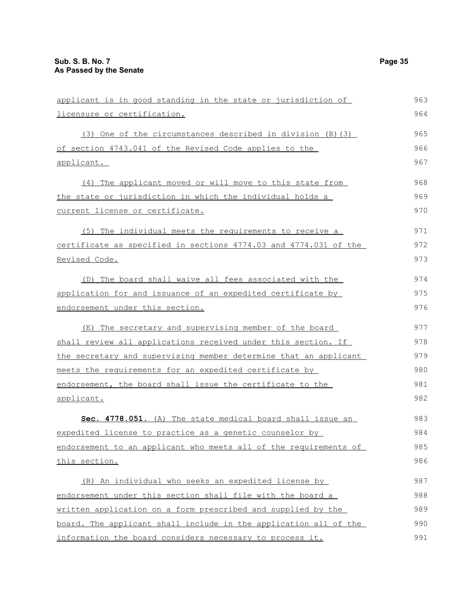| applicant is in good standing in the state or jurisdiction of    | 963 |
|------------------------------------------------------------------|-----|
| licensure or certification.                                      | 964 |
| (3) One of the circumstances described in division (B) (3)       | 965 |
| of section 4743.041 of the Revised Code applies to the           | 966 |
| applicant.                                                       | 967 |
| (4) The applicant moved or will move to this state from          | 968 |
| the state or jurisdiction in which the individual holds a        | 969 |
| current license or certificate.                                  | 970 |
| (5) The individual meets the requirements to receive a           | 971 |
| certificate as specified in sections 4774.03 and 4774.031 of the | 972 |
| Revised Code.                                                    | 973 |
| (D) The board shall waive all fees associated with the           | 974 |
| application for and issuance of an expedited certificate by      | 975 |
| endorsement under this section.                                  | 976 |
| (E) The secretary and supervising member of the board            | 977 |
| shall review all applications received under this section. If    | 978 |
| the secretary and supervising member determine that an applicant | 979 |
| meets the requirements for an expedited certificate by           | 980 |
| endorsement, the board shall issue the certificate to the        | 981 |
| applicant.                                                       | 982 |
| Sec. 4778.051. (A) The state medical board shall issue an        | 983 |
| expedited license to practice as a genetic counselor by          | 984 |
| endorsement to an applicant who meets all of the requirements of | 985 |
| this section.                                                    | 986 |
| (B) An individual who seeks an expedited license by              | 987 |
| endorsement under this section shall file with the board a       | 988 |
| written application on a form prescribed and supplied by the     | 989 |
| board. The applicant shall include in the application all of the | 990 |
| information the board considers necessary to process it.         | 991 |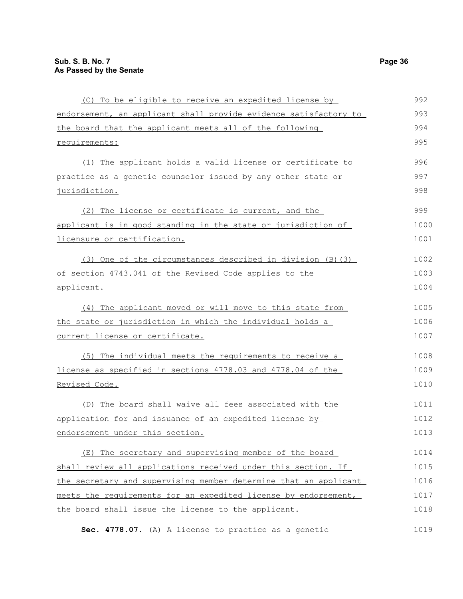| (C) To be eligible to receive an expedited license by            | 992  |
|------------------------------------------------------------------|------|
| endorsement, an applicant shall provide evidence satisfactory to | 993  |
| the board that the applicant meets all of the following          | 994  |
| requirements:                                                    | 995  |
| (1) The applicant holds a valid license or certificate to        | 996  |
| practice as a genetic counselor issued by any other state or     | 997  |
| jurisdiction.                                                    | 998  |
| (2) The license or certificate is current, and the               | 999  |
| applicant is in good standing in the state or jurisdiction of    | 1000 |
| licensure or certification.                                      | 1001 |
| (3) One of the circumstances described in division (B) (3)       | 1002 |
| of section 4743.041 of the Revised Code applies to the           | 1003 |
| applicant.                                                       | 1004 |
| (4) The applicant moved or will move to this state from          | 1005 |
| the state or jurisdiction in which the individual holds a        | 1006 |
| current license or certificate.                                  | 1007 |
| (5) The individual meets the requirements to receive a           | 1008 |
| license as specified in sections 4778.03 and 4778.04 of the      | 1009 |
| Revised Code.                                                    | 1010 |
| (D) The board shall waive all fees associated with the           | 1011 |
| application for and issuance of an expedited license by          | 1012 |
| endorsement under this section.                                  | 1013 |
| (E) The secretary and supervising member of the board            | 1014 |
| shall review all applications received under this section. If    | 1015 |
| the secretary and supervising member determine that an applicant | 1016 |
| meets the requirements for an expedited license by endorsement,  | 1017 |
| the board shall issue the license to the applicant.              | 1018 |
| Sec. 4778.07. (A) A license to practice as a genetic             | 1019 |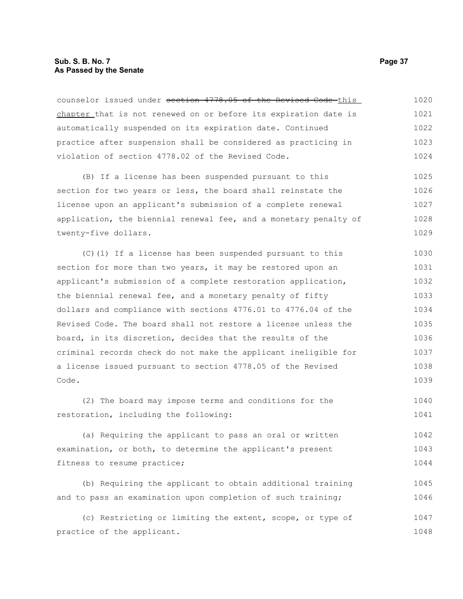# **Sub. S. B. No. 7 Page 37 As Passed by the Senate**

counselor issued under section 4778.05 of the Revised Code this chapter that is not renewed on or before its expiration date is automatically suspended on its expiration date. Continued practice after suspension shall be considered as practicing in violation of section 4778.02 of the Revised Code. 1020 1021 1022 1023 1024

(B) If a license has been suspended pursuant to this section for two years or less, the board shall reinstate the license upon an applicant's submission of a complete renewal application, the biennial renewal fee, and a monetary penalty of twenty-five dollars. 1025 1026 1027 1028 1029

(C)(1) If a license has been suspended pursuant to this section for more than two years, it may be restored upon an applicant's submission of a complete restoration application, the biennial renewal fee, and a monetary penalty of fifty dollars and compliance with sections 4776.01 to 4776.04 of the Revised Code. The board shall not restore a license unless the board, in its discretion, decides that the results of the criminal records check do not make the applicant ineligible for a license issued pursuant to section 4778.05 of the Revised Code. 1030 1031 1032 1033 1034 1035 1036 1037 1038 1039

(2) The board may impose terms and conditions for the restoration, including the following: 1040 1041

(a) Requiring the applicant to pass an oral or written examination, or both, to determine the applicant's present fitness to resume practice; 1042 1043 1044

(b) Requiring the applicant to obtain additional training and to pass an examination upon completion of such training; 1045 1046

(c) Restricting or limiting the extent, scope, or type of practice of the applicant. 1047 1048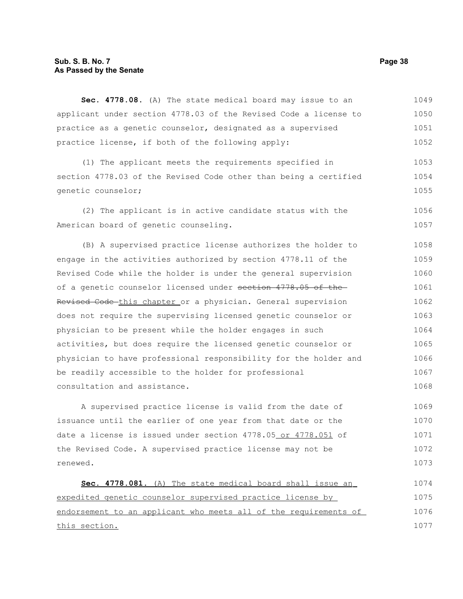# **Sub. S. B. No. 7 Page 38 As Passed by the Senate**

**Sec. 4778.08.** (A) The state medical board may issue to an applicant under section 4778.03 of the Revised Code a license to practice as a genetic counselor, designated as a supervised practice license, if both of the following apply: 1049 1050 1051 1052

(1) The applicant meets the requirements specified in section 4778.03 of the Revised Code other than being a certified genetic counselor; 1053 1054 1055

(2) The applicant is in active candidate status with the American board of genetic counseling. 1056 1057

(B) A supervised practice license authorizes the holder to engage in the activities authorized by section 4778.11 of the Revised Code while the holder is under the general supervision of a genetic counselor licensed under section 4778.05 of the Revised Code this chapter or a physician. General supervision does not require the supervising licensed genetic counselor or physician to be present while the holder engages in such activities, but does require the licensed genetic counselor or physician to have professional responsibility for the holder and be readily accessible to the holder for professional consultation and assistance. 1058 1059 1060 1061 1062 1063 1064 1065 1066 1067 1068

A supervised practice license is valid from the date of issuance until the earlier of one year from that date or the date a license is issued under section 4778.05 or 4778.051 of the Revised Code. A supervised practice license may not be renewed. 1069 1070 1071 1072 1073

 **Sec. 4778.081.** (A) The state medical board shall issue an expedited genetic counselor supervised practice license by endorsement to an applicant who meets all of the requirements of this section. 1074 1075 1076 1077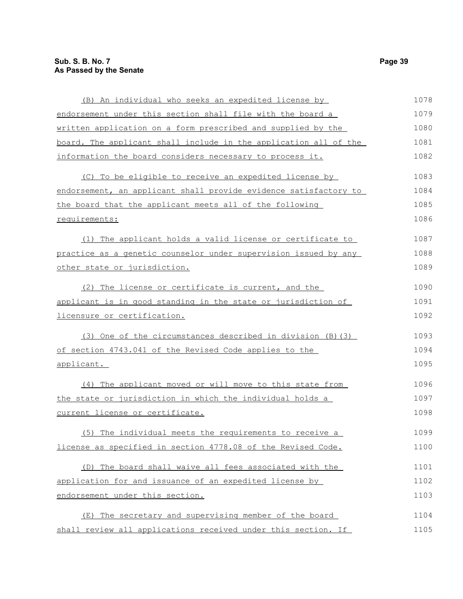| (B) An individual who seeks an expedited license by              | 1078 |
|------------------------------------------------------------------|------|
| endorsement under this section shall file with the board a       | 1079 |
| written application on a form prescribed and supplied by the     | 1080 |
| board. The applicant shall include in the application all of the | 1081 |
| information the board considers necessary to process it.         | 1082 |
| (C) To be eligible to receive an expedited license by            | 1083 |
| endorsement, an applicant shall provide evidence satisfactory to | 1084 |
| the board that the applicant meets all of the following          | 1085 |
| requirements:                                                    | 1086 |
| (1) The applicant holds a valid license or certificate to        | 1087 |
| practice as a genetic counselor under supervision issued by any  | 1088 |
| other state or jurisdiction.                                     | 1089 |
| (2) The license or certificate is current, and the               | 1090 |
| applicant is in good standing in the state or jurisdiction of    | 1091 |
| licensure or certification.                                      | 1092 |
| (3) One of the circumstances described in division (B) (3)       | 1093 |
| of section 4743.041 of the Revised Code applies to the           | 1094 |
| applicant.                                                       | 1095 |
| (4) The applicant moved or will move to this state from          | 1096 |
| the state or jurisdiction in which the individual holds a        | 1097 |
| current license or certificate.                                  | 1098 |
| (5) The individual meets the requirements to receive a           | 1099 |
| license as specified in section 4778.08 of the Revised Code.     | 1100 |
| (D) The board shall waive all fees associated with the           | 1101 |
| application for and issuance of an expedited license by          | 1102 |
| endorsement under this section.                                  | 1103 |
| (E) The secretary and supervising member of the board            | 1104 |
| shall review all applications received under this section. If    | 1105 |